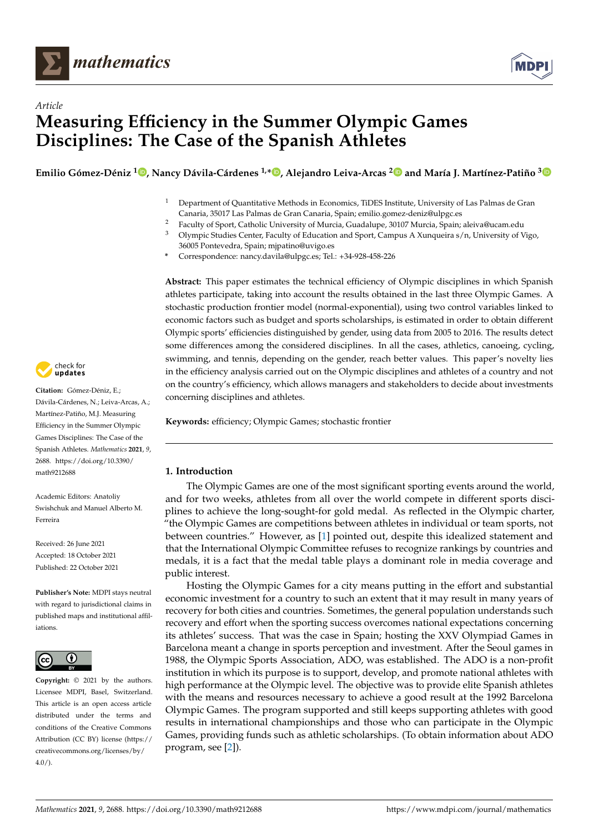



# *Article* **Measuring Efficiency in the Summer Olympic Games Disciplines: The Case of the Spanish Athletes**

**Emilio Gómez-Déniz [1](https://orcid.org/0000-0002-5072-7908) , Nancy Dávila-Cárdenes 1,\* [,](https://orcid.org/0000-0002-8886-8140) Alejandro Leiva-Arcas [2](https://orcid.org/0000-0002-2096-0274) and María J. Martínez-Patiño [3](https://orcid.org/0000-0003-2721-9240)**

- <sup>1</sup> Department of Quantitative Methods in Economics, TiDES Institute, University of Las Palmas de Gran Canaria, 35017 Las Palmas de Gran Canaria, Spain; emilio.gomez-deniz@ulpgc.es
- <sup>2</sup> Faculty of Sport, Catholic University of Murcia, Guadalupe, 30107 Murcia, Spain; aleiva@ucam.edu<br><sup>3</sup> Olympic Studies Contor Faculty of Education and Sport, Campus A Yungueira s (n. University of V
- <sup>3</sup> Olympic Studies Center, Faculty of Education and Sport, Campus A Xunqueira s/n, University of Vigo, 36005 Pontevedra, Spain; mjpatino@uvigo.es
- **\*** Correspondence: nancy.davila@ulpgc.es; Tel.: +34-928-458-226

**Abstract:** This paper estimates the technical efficiency of Olympic disciplines in which Spanish athletes participate, taking into account the results obtained in the last three Olympic Games. A stochastic production frontier model (normal-exponential), using two control variables linked to economic factors such as budget and sports scholarships, is estimated in order to obtain different Olympic sports' efficiencies distinguished by gender, using data from 2005 to 2016. The results detect some differences among the considered disciplines. In all the cases, athletics, canoeing, cycling, swimming, and tennis, depending on the gender, reach better values. This paper's novelty lies in the efficiency analysis carried out on the Olympic disciplines and athletes of a country and not on the country's efficiency, which allows managers and stakeholders to decide about investments concerning disciplines and athletes.

**Keywords:** efficiency; Olympic Games; stochastic frontier

## **1. Introduction**

The Olympic Games are one of the most significant sporting events around the world, and for two weeks, athletes from all over the world compete in different sports disciplines to achieve the long-sought-for gold medal. As reflected in the Olympic charter, "the Olympic Games are competitions between athletes in individual or team sports, not between countries." However, as [\[1\]](#page-13-0) pointed out, despite this idealized statement and that the International Olympic Committee refuses to recognize rankings by countries and medals, it is a fact that the medal table plays a dominant role in media coverage and public interest.

Hosting the Olympic Games for a city means putting in the effort and substantial economic investment for a country to such an extent that it may result in many years of recovery for both cities and countries. Sometimes, the general population understands such recovery and effort when the sporting success overcomes national expectations concerning its athletes' success. That was the case in Spain; hosting the XXV Olympiad Games in Barcelona meant a change in sports perception and investment. After the Seoul games in 1988, the Olympic Sports Association, ADO, was established. The ADO is a non-profit institution in which its purpose is to support, develop, and promote national athletes with high performance at the Olympic level. The objective was to provide elite Spanish athletes with the means and resources necessary to achieve a good result at the 1992 Barcelona Olympic Games. The program supported and still keeps supporting athletes with good results in international championships and those who can participate in the Olympic Games, providing funds such as athletic scholarships. (To obtain information about ADO program, see [\[2\]](#page-13-1)).



**Citation:** Gómez-Déniz, E.; Dávila-Cárdenes, N.; Leiva-Arcas, A.; Martínez-Patiño, M.J. Measuring Efficiency in the Summer Olympic Games Disciplines: The Case of the Spanish Athletes. *Mathematics* **2021**, *9*, 2688. [https://doi.org/10.3390/](https://doi.org/10.3390/math9212688) [math9212688](https://doi.org/10.3390/math9212688)

Academic Editors: Anatoliy Swishchuk and Manuel Alberto M. Ferreira

Received: 26 June 2021 Accepted: 18 October 2021 Published: 22 October 2021

**Publisher's Note:** MDPI stays neutral with regard to jurisdictional claims in published maps and institutional affiliations.



**Copyright:** © 2021 by the authors. Licensee MDPI, Basel, Switzerland. This article is an open access article distributed under the terms and conditions of the Creative Commons Attribution (CC BY) license (https:/[/](https://creativecommons.org/licenses/by/4.0/) [creativecommons.org/licenses/by/](https://creativecommons.org/licenses/by/4.0/)  $4.0/$ ).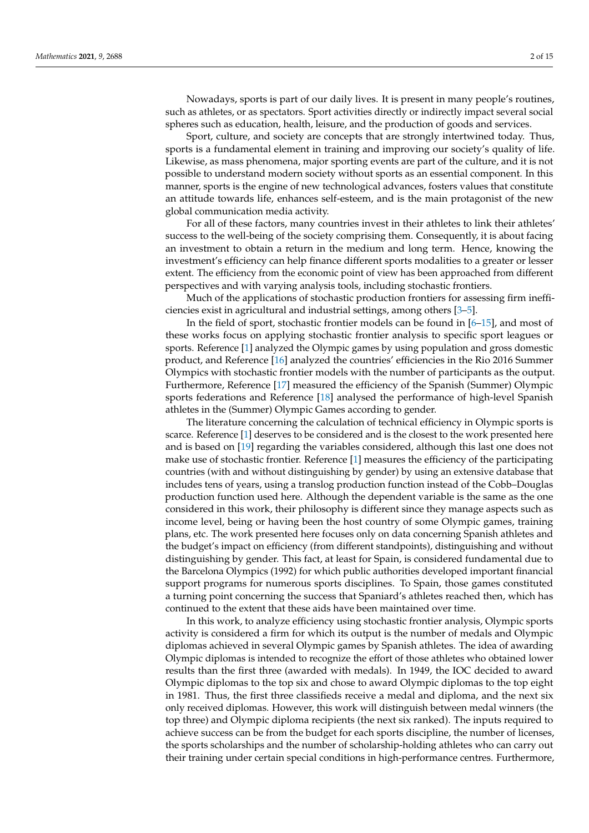Nowadays, sports is part of our daily lives. It is present in many people's routines, such as athletes, or as spectators. Sport activities directly or indirectly impact several social spheres such as education, health, leisure, and the production of goods and services.

Sport, culture, and society are concepts that are strongly intertwined today. Thus, sports is a fundamental element in training and improving our society's quality of life. Likewise, as mass phenomena, major sporting events are part of the culture, and it is not possible to understand modern society without sports as an essential component. In this manner, sports is the engine of new technological advances, fosters values that constitute an attitude towards life, enhances self-esteem, and is the main protagonist of the new global communication media activity.

For all of these factors, many countries invest in their athletes to link their athletes' success to the well-being of the society comprising them. Consequently, it is about facing an investment to obtain a return in the medium and long term. Hence, knowing the investment's efficiency can help finance different sports modalities to a greater or lesser extent. The efficiency from the economic point of view has been approached from different perspectives and with varying analysis tools, including stochastic frontiers.

Much of the applications of stochastic production frontiers for assessing firm inefficiencies exist in agricultural and industrial settings, among others [\[3](#page-13-2)[–5\]](#page-13-3).

In the field of sport, stochastic frontier models can be found in [\[6–](#page-13-4)[15\]](#page-13-5), and most of these works focus on applying stochastic frontier analysis to specific sport leagues or sports. Reference [\[1\]](#page-13-0) analyzed the Olympic games by using population and gross domestic product, and Reference [\[16\]](#page-13-6) analyzed the countries' efficiencies in the Rio 2016 Summer Olympics with stochastic frontier models with the number of participants as the output. Furthermore, Reference [\[17\]](#page-13-7) measured the efficiency of the Spanish (Summer) Olympic sports federations and Reference [\[18\]](#page-13-8) analysed the performance of high-level Spanish athletes in the (Summer) Olympic Games according to gender.

The literature concerning the calculation of technical efficiency in Olympic sports is scarce. Reference [\[1\]](#page-13-0) deserves to be considered and is the closest to the work presented here and is based on [\[19\]](#page-13-9) regarding the variables considered, although this last one does not make use of stochastic frontier. Reference [\[1\]](#page-13-0) measures the efficiency of the participating countries (with and without distinguishing by gender) by using an extensive database that includes tens of years, using a translog production function instead of the Cobb–Douglas production function used here. Although the dependent variable is the same as the one considered in this work, their philosophy is different since they manage aspects such as income level, being or having been the host country of some Olympic games, training plans, etc. The work presented here focuses only on data concerning Spanish athletes and the budget's impact on efficiency (from different standpoints), distinguishing and without distinguishing by gender. This fact, at least for Spain, is considered fundamental due to the Barcelona Olympics (1992) for which public authorities developed important financial support programs for numerous sports disciplines. To Spain, those games constituted a turning point concerning the success that Spaniard's athletes reached then, which has continued to the extent that these aids have been maintained over time.

In this work, to analyze efficiency using stochastic frontier analysis, Olympic sports activity is considered a firm for which its output is the number of medals and Olympic diplomas achieved in several Olympic games by Spanish athletes. The idea of awarding Olympic diplomas is intended to recognize the effort of those athletes who obtained lower results than the first three (awarded with medals). In 1949, the IOC decided to award Olympic diplomas to the top six and chose to award Olympic diplomas to the top eight in 1981. Thus, the first three classifieds receive a medal and diploma, and the next six only received diplomas. However, this work will distinguish between medal winners (the top three) and Olympic diploma recipients (the next six ranked). The inputs required to achieve success can be from the budget for each sports discipline, the number of licenses, the sports scholarships and the number of scholarship-holding athletes who can carry out their training under certain special conditions in high-performance centres. Furthermore,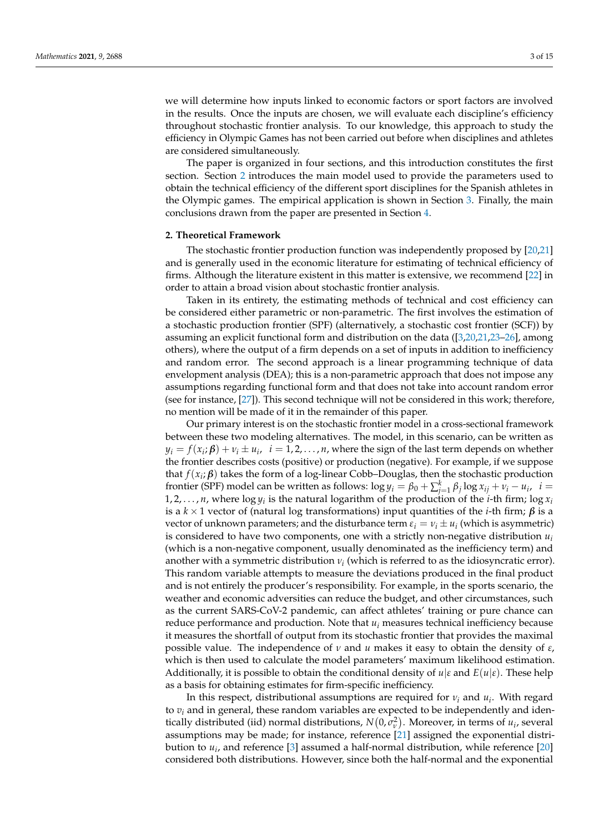we will determine how inputs linked to economic factors or sport factors are involved in the results. Once the inputs are chosen, we will evaluate each discipline's efficiency throughout stochastic frontier analysis. To our knowledge, this approach to study the efficiency in Olympic Games has not been carried out before when disciplines and athletes are considered simultaneously.

The paper is organized in four sections, and this introduction constitutes the first section. Section [2](#page-2-0) introduces the main model used to provide the parameters used to obtain the technical efficiency of the different sport disciplines for the Spanish athletes in the Olympic games. The empirical application is shown in Section [3.](#page-4-0) Finally, the main conclusions drawn from the paper are presented in Section [4.](#page-11-0)

#### <span id="page-2-0"></span>**2. Theoretical Framework**

The stochastic frontier production function was independently proposed by [\[20](#page-13-10)[,21\]](#page-13-11) and is generally used in the economic literature for estimating of technical efficiency of firms. Although the literature existent in this matter is extensive, we recommend [\[22\]](#page-13-12) in order to attain a broad vision about stochastic frontier analysis.

Taken in its entirety, the estimating methods of technical and cost efficiency can be considered either parametric or non-parametric. The first involves the estimation of a stochastic production frontier (SPF) (alternatively, a stochastic cost frontier (SCF)) by assuming an explicit functional form and distribution on the data ([\[3,](#page-13-2)[20,](#page-13-10)[21,](#page-13-11)[23–](#page-13-13)[26\]](#page-14-0), among others), where the output of a firm depends on a set of inputs in addition to inefficiency and random error. The second approach is a linear programming technique of data envelopment analysis (DEA); this is a non-parametric approach that does not impose any assumptions regarding functional form and that does not take into account random error (see for instance, [\[27\]](#page-14-1)). This second technique will not be considered in this work; therefore, no mention will be made of it in the remainder of this paper.

Our primary interest is on the stochastic frontier model in a cross-sectional framework between these two modeling alternatives. The model, in this scenario, can be written as  $y_i = f(x_i; \beta) + v_i \pm u_i$ ,  $i = 1, 2, ..., n$ , where the sign of the last term depends on whether the frontier describes costs (positive) or production (negative). For example, if we suppose that  $f(x_i; \beta)$  takes the form of a log-linear Cobb–Douglas, then the stochastic production frontier (SPF) model can be written as follows:  $\log y_i = \beta_0 + \sum_{j=1}^k \beta_j \log x_{ij} + v_i - u_i$ ,  $i =$ 1, 2, . . . , *n*, where  $\log y_i$  is the natural logarithm of the production of the *i*-th firm;  $\log x_i$ is a *k* × 1 vector of (natural log transformations) input quantities of the *i*-th firm; *β* is a vector of unknown parameters; and the disturbance term  $\varepsilon_i = v_i \pm u_i$  (which is asymmetric) is considered to have two components, one with a strictly non-negative distribution *u<sup>i</sup>* (which is a non-negative component, usually denominated as the inefficiency term) and another with a symmetric distribution *ν<sup>i</sup>* (which is referred to as the idiosyncratic error). This random variable attempts to measure the deviations produced in the final product and is not entirely the producer's responsibility. For example, in the sports scenario, the weather and economic adversities can reduce the budget, and other circumstances, such as the current SARS-CoV-2 pandemic, can affect athletes' training or pure chance can reduce performance and production. Note that *u<sup>i</sup>* measures technical inefficiency because it measures the shortfall of output from its stochastic frontier that provides the maximal possible value. The independence of *ν* and *u* makes it easy to obtain the density of *ε*, which is then used to calculate the model parameters' maximum likelihood estimation. Additionally, it is possible to obtain the conditional density of  $u|\varepsilon$  and  $E(u|\varepsilon)$ . These help as a basis for obtaining estimates for firm-specific inefficiency.

In this respect, distributional assumptions are required for *ν<sup>i</sup>* and *u<sup>i</sup>* . With regard to  $v_i$  and in general, these random variables are expected to be independently and identically distributed (iid) normal distributions,  $N(0, \sigma_v^2)$ . Moreover, in terms of  $u_i$ , several assumptions may be made; for instance, reference [\[21\]](#page-13-11) assigned the exponential distribution to *u<sup>i</sup>* , and reference [\[3\]](#page-13-2) assumed a half-normal distribution, while reference [\[20\]](#page-13-10) considered both distributions. However, since both the half-normal and the exponential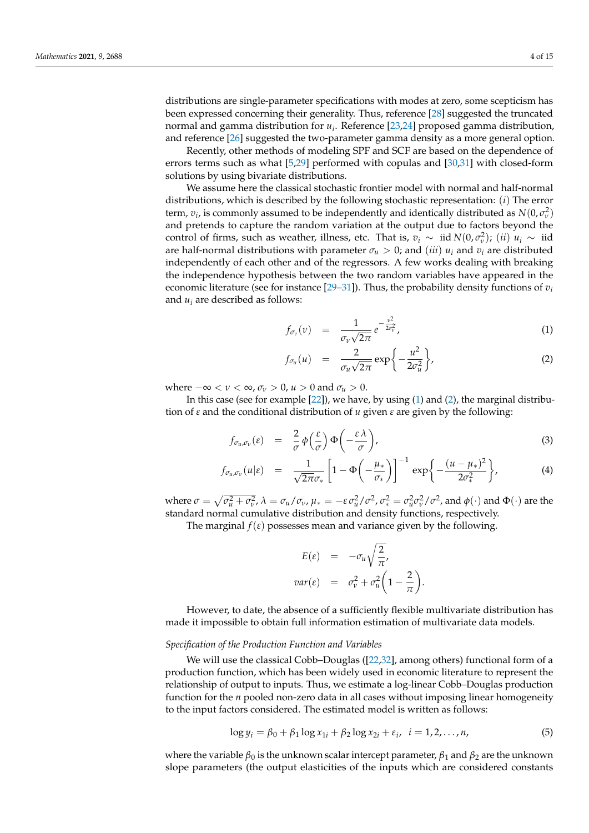distributions are single-parameter specifications with modes at zero, some scepticism has been expressed concerning their generality. Thus, reference [\[28\]](#page-14-2) suggested the truncated normal and gamma distribution for *u<sup>i</sup>* . Reference [\[23,](#page-13-13)[24\]](#page-13-14) proposed gamma distribution, and reference [\[26\]](#page-14-0) suggested the two-parameter gamma density as a more general option.

Recently, other methods of modeling SPF and SCF are based on the dependence of errors terms such as what [\[5](#page-13-3)[,29\]](#page-14-3) performed with copulas and [\[30,](#page-14-4)[31\]](#page-14-5) with closed-form solutions by using bivariate distributions.

We assume here the classical stochastic frontier model with normal and half-normal distributions, which is described by the following stochastic representation: (*i*) The error term,  $v_i$ , is commonly assumed to be independently and identically distributed as  $N(0, \sigma_v^2)$ and pretends to capture the random variation at the output due to factors beyond the control of firms, such as weather, illness, etc. That is,  $v_i \sim \text{iid } N(0, \sigma_v^2)$ ; (*ii*)  $u_i \sim \text{iid}$ are half-normal distributions with parameter  $\sigma_u > 0$ ; and (*iii*)  $u_i$  and  $v_i$  are distributed independently of each other and of the regressors. A few works dealing with breaking the independence hypothesis between the two random variables have appeared in the economic literature (see for instance [\[29–](#page-14-3)[31\]](#page-14-5)). Thus, the probability density functions of  $v_i$ and  $u_i$  are described as follows:

<span id="page-3-0"></span>
$$
f_{\sigma_v}(\nu) = \frac{1}{\sigma_v \sqrt{2\pi}} e^{-\frac{\nu^2}{2\sigma_v^2}}, \qquad (1)
$$

$$
f_{\sigma_u}(u) = \frac{2}{\sigma_u \sqrt{2\pi}} \exp\left\{-\frac{u^2}{2\sigma_u^2}\right\},\tag{2}
$$

where  $-\infty < v < \infty$ ,  $\sigma_v > 0$ ,  $u > 0$  and  $\sigma_u > 0$ .

In this case (see for example [\[22\]](#page-13-12)), we have, by using [\(1\)](#page-3-0) and [\(2\)](#page-3-0), the marginal distribution of *ε* and the conditional distribution of *u* given *ε* are given by the following:

<span id="page-3-1"></span>
$$
f_{\sigma_u,\sigma_v}(\varepsilon) = \frac{2}{\sigma} \phi\left(\frac{\varepsilon}{\sigma}\right) \Phi\left(-\frac{\varepsilon \lambda}{\sigma}\right),\tag{3}
$$

$$
f_{\sigma_u,\sigma_v}(u|\varepsilon) = \frac{1}{\sqrt{2\pi}\sigma_*} \left[1 - \Phi\left(-\frac{\mu_*}{\sigma_*}\right)\right]^{-1} \exp\left\{-\frac{(u-\mu_*)^2}{2\sigma_*^2}\right\},\tag{4}
$$

where  $\sigma = \sqrt{\sigma_u^2 + \sigma_v^2}$ ,  $\lambda = \sigma_u/\sigma_v$ ,  $\mu_* = -\varepsilon \sigma_u^2/\sigma^2$ ,  $\sigma_*^2 = \sigma_u^2 \sigma_v^2/\sigma^2$ , and  $\phi(\cdot)$  and  $\Phi(\cdot)$  are the standard normal cumulative distribution and density functions, respectively.

The marginal  $f(\varepsilon)$  possesses mean and variance given by the following.

$$
E(\varepsilon) = -\sigma_u \sqrt{\frac{2}{\pi}},
$$
  

$$
var(\varepsilon) = \sigma_v^2 + \sigma_u^2 \left(1 - \frac{2}{\pi}\right).
$$

However, to date, the absence of a sufficiently flexible multivariate distribution has made it impossible to obtain full information estimation of multivariate data models.

#### *Specification of the Production Function and Variables*

We will use the classical Cobb–Douglas ([\[22](#page-13-12)[,32\]](#page-14-6), among others) functional form of a production function, which has been widely used in economic literature to represent the relationship of output to inputs. Thus, we estimate a log-linear Cobb–Douglas production function for the *n* pooled non-zero data in all cases without imposing linear homogeneity to the input factors considered. The estimated model is written as follows:

<span id="page-3-2"></span>
$$
\log y_i = \beta_0 + \beta_1 \log x_{1i} + \beta_2 \log x_{2i} + \varepsilon_i, \ \ i = 1, 2, \dots, n,
$$
 (5)

where the variable  $β_0$  is the unknown scalar intercept parameter,  $β_1$  and  $β_2$  are the unknown slope parameters (the output elasticities of the inputs which are considered constants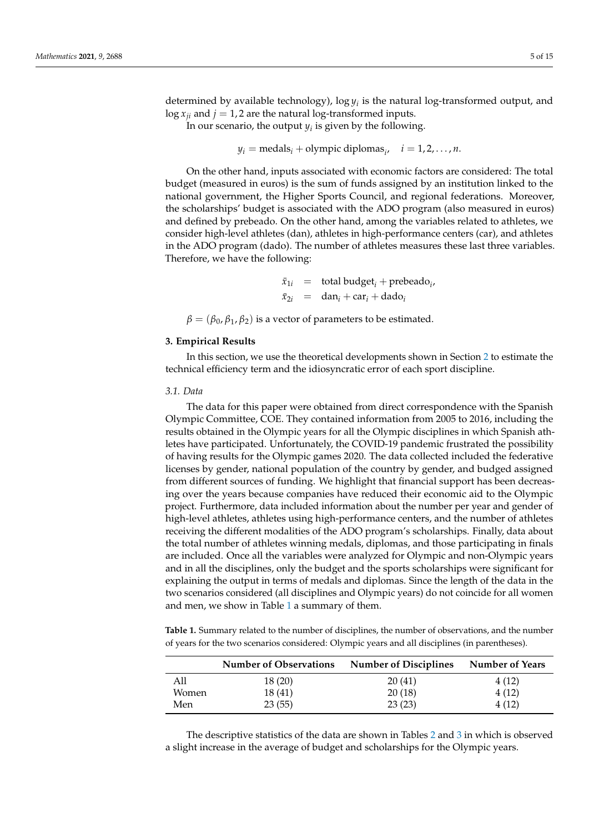determined by available technology),  $\log y_i$  is the natural log-transformed output, and  $\log x_{ii}$  and  $j = 1, 2$  are the natural log-transformed inputs.

In our scenario, the output  $y_i$  is given by the following.

 $y_i$  = medals<sub>*i*</sub> + olympic diplomas<sub>*i*</sub>, *i* = 1, 2, . . . , *n*.

On the other hand, inputs associated with economic factors are considered: The total budget (measured in euros) is the sum of funds assigned by an institution linked to the national government, the Higher Sports Council, and regional federations. Moreover, the scholarships' budget is associated with the ADO program (also measured in euros) and defined by prebeado. On the other hand, among the variables related to athletes, we consider high-level athletes (dan), athletes in high-performance centers (car), and athletes in the ADO program (dado). The number of athletes measures these last three variables. Therefore, we have the following:

> $\bar{x}_{1i}$  = total budget<sub>*i*</sub> + prebeado<sub>*i*</sub></sub>  $\bar{x}_{2i}$  = dan<sub>*i*</sub> + car<sub>*i*</sub> + dado*i*

 $\beta = (\beta_0, \beta_1, \beta_2)$  is a vector of parameters to be estimated.

#### <span id="page-4-0"></span>**3. Empirical Results**

In this section, we use the theoretical developments shown in Section [2](#page-2-0) to estimate the technical efficiency term and the idiosyncratic error of each sport discipline.

#### *3.1. Data*

The data for this paper were obtained from direct correspondence with the Spanish Olympic Committee, COE. They contained information from 2005 to 2016, including the results obtained in the Olympic years for all the Olympic disciplines in which Spanish athletes have participated. Unfortunately, the COVID-19 pandemic frustrated the possibility of having results for the Olympic games 2020. The data collected included the federative licenses by gender, national population of the country by gender, and budged assigned from different sources of funding. We highlight that financial support has been decreasing over the years because companies have reduced their economic aid to the Olympic project. Furthermore, data included information about the number per year and gender of high-level athletes, athletes using high-performance centers, and the number of athletes receiving the different modalities of the ADO program's scholarships. Finally, data about the total number of athletes winning medals, diplomas, and those participating in finals are included. Once all the variables were analyzed for Olympic and non-Olympic years and in all the disciplines, only the budget and the sports scholarships were significant for explaining the output in terms of medals and diplomas. Since the length of the data in the two scenarios considered (all disciplines and Olympic years) do not coincide for all women and men, we show in Table [1](#page-4-1) a summary of them.

<span id="page-4-1"></span>**Table 1.** Summary related to the number of disciplines, the number of observations, and the number of years for the two scenarios considered: Olympic years and all disciplines (in parentheses).

|       | <b>Number of Observations</b> | <b>Number of Disciplines</b> | <b>Number of Years</b> |
|-------|-------------------------------|------------------------------|------------------------|
| All   | 18 (20)                       | 20(41)                       | 4 (12)                 |
| Women | 18(41)                        | 20(18)                       | 4(12)                  |
| Men   | 23(55)                        | 23(23)                       | 4(12)                  |

The descriptive statistics of the data are shown in Tables [2](#page-5-0) and [3](#page-5-1) in which is observed a slight increase in the average of budget and scholarships for the Olympic years.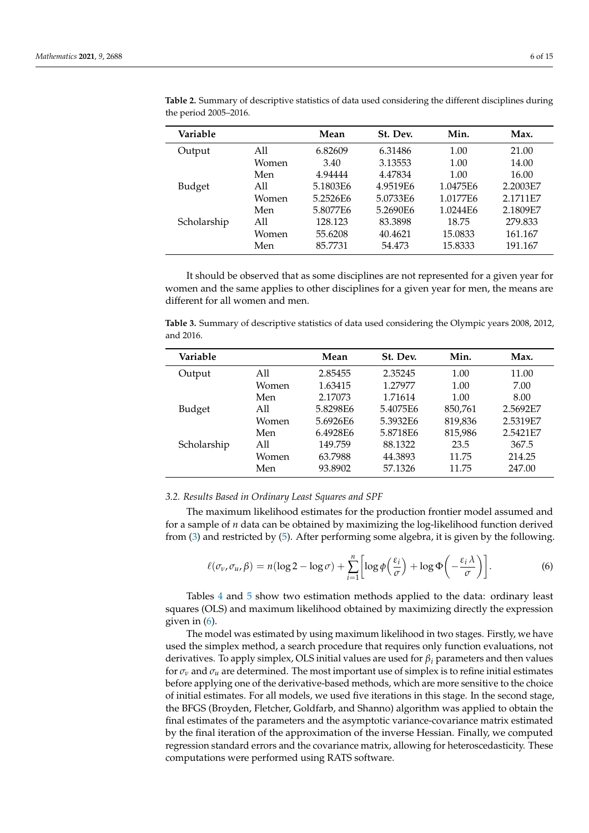| Variable    |       | Mean     | St. Dev. | Min.     | Max.     |
|-------------|-------|----------|----------|----------|----------|
| Output      | All   | 6.82609  | 6.31486  | 1.00     | 21.00    |
|             | Women | 3.40     | 3.13553  | 1.00     | 14.00    |
|             | Men   | 4.94444  | 4.47834  | 1.00     | 16.00    |
| Budget      | All   | 5.1803E6 | 4.9519E6 | 1.0475E6 | 2.2003E7 |
|             | Women | 5.2526E6 | 5.0733E6 | 1.0177E6 | 2.1711E7 |
|             | Men   | 5.8077E6 | 5.2690E6 | 1.0244E6 | 2.1809E7 |
| Scholarship | A11   | 128.123  | 83.3898  | 18.75    | 279.833  |
|             | Women | 55.6208  | 40.4621  | 15.0833  | 161.167  |
|             | Men   | 85.7731  | 54.473   | 15.8333  | 191.167  |

<span id="page-5-0"></span>**Table 2.** Summary of descriptive statistics of data used considering the different disciplines during the period 2005–2016.

It should be observed that as some disciplines are not represented for a given year for women and the same applies to other disciplines for a given year for men, the means are different for all women and men.

<span id="page-5-1"></span>**Table 3.** Summary of descriptive statistics of data used considering the Olympic years 2008, 2012, and 2016.

| Variable    |       | Mean     | St. Dev. | Min.    | Max.     |
|-------------|-------|----------|----------|---------|----------|
| Output      | All   | 2.85455  | 2.35245  | 1.00    | 11.00    |
|             | Women | 1.63415  | 1.27977  | 1.00    | 7.00     |
|             | Men   | 2.17073  | 1.71614  | 1.00    | 8.00     |
| Budget      | All   | 5.8298E6 | 5.4075E6 | 850,761 | 2.5692E7 |
|             | Women | 5.6926E6 | 5.3932E6 | 819,836 | 2.5319E7 |
|             | Men   | 6.4928E6 | 5.8718E6 | 815,986 | 2.5421E7 |
| Scholarship | All   | 149.759  | 88.1322  | 23.5    | 367.5    |
|             | Women | 63.7988  | 44.3893  | 11.75   | 214.25   |
|             | Men   | 93.8902  | 57.1326  | 11.75   | 247.00   |

#### *3.2. Results Based in Ordinary Least Squares and SPF*

The maximum likelihood estimates for the production frontier model assumed and for a sample of *n* data can be obtained by maximizing the log-likelihood function derived from [\(3\)](#page-3-1) and restricted by [\(5\)](#page-3-2). After performing some algebra, it is given by the following.

<span id="page-5-2"></span>
$$
\ell(\sigma_{\nu}, \sigma_{\nu}, \beta) = n(\log 2 - \log \sigma) + \sum_{i=1}^{n} \left[ \log \phi \left( \frac{\varepsilon_{i}}{\sigma} \right) + \log \Phi \left( -\frac{\varepsilon_{i} \lambda}{\sigma} \right) \right].
$$
 (6)

Tables [4](#page-7-0) and [5](#page-7-1) show two estimation methods applied to the data: ordinary least squares (OLS) and maximum likelihood obtained by maximizing directly the expression given in [\(6\)](#page-5-2).

The model was estimated by using maximum likelihood in two stages. Firstly, we have used the simplex method, a search procedure that requires only function evaluations, not derivatives. To apply simplex, OLS initial values are used for *β<sup>i</sup>* parameters and then values for  $\sigma_\nu$  and  $\sigma_u$  are determined. The most important use of simplex is to refine initial estimates before applying one of the derivative-based methods, which are more sensitive to the choice of initial estimates. For all models, we used five iterations in this stage. In the second stage, the BFGS (Broyden, Fletcher, Goldfarb, and Shanno) algorithm was applied to obtain the final estimates of the parameters and the asymptotic variance-covariance matrix estimated by the final iteration of the approximation of the inverse Hessian. Finally, we computed regression standard errors and the covariance matrix, allowing for heteroscedasticity. These computations were performed using RATS software.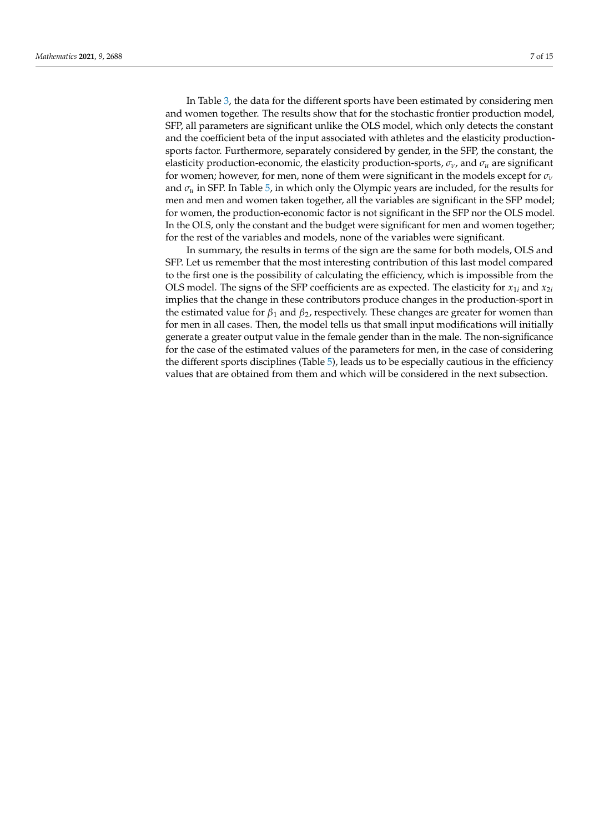In Table [3,](#page-5-1) the data for the different sports have been estimated by considering men and women together. The results show that for the stochastic frontier production model, SFP, all parameters are significant unlike the OLS model, which only detects the constant and the coefficient beta of the input associated with athletes and the elasticity productionsports factor. Furthermore, separately considered by gender, in the SFP, the constant, the elasticity production-economic, the elasticity production-sports,  $\sigma_v$ , and  $\sigma_u$  are significant for women; however, for men, none of them were significant in the models except for *σ<sup>ν</sup>* and  $\sigma_u$  in SFP. In Table [5,](#page-7-1) in which only the Olympic years are included, for the results for men and men and women taken together, all the variables are significant in the SFP model; for women, the production-economic factor is not significant in the SFP nor the OLS model. In the OLS, only the constant and the budget were significant for men and women together; for the rest of the variables and models, none of the variables were significant.

In summary, the results in terms of the sign are the same for both models, OLS and SFP. Let us remember that the most interesting contribution of this last model compared to the first one is the possibility of calculating the efficiency, which is impossible from the OLS model. The signs of the SFP coefficients are as expected. The elasticity for  $x_{1i}$  and  $x_{2i}$ implies that the change in these contributors produce changes in the production-sport in the estimated value for  $\beta_1$  and  $\beta_2$ , respectively. These changes are greater for women than for men in all cases. Then, the model tells us that small input modifications will initially generate a greater output value in the female gender than in the male. The non-significance for the case of the estimated values of the parameters for men, in the case of considering the different sports disciplines (Table [5\)](#page-7-1), leads us to be especially cautious in the efficiency values that are obtained from them and which will be considered in the next subsection.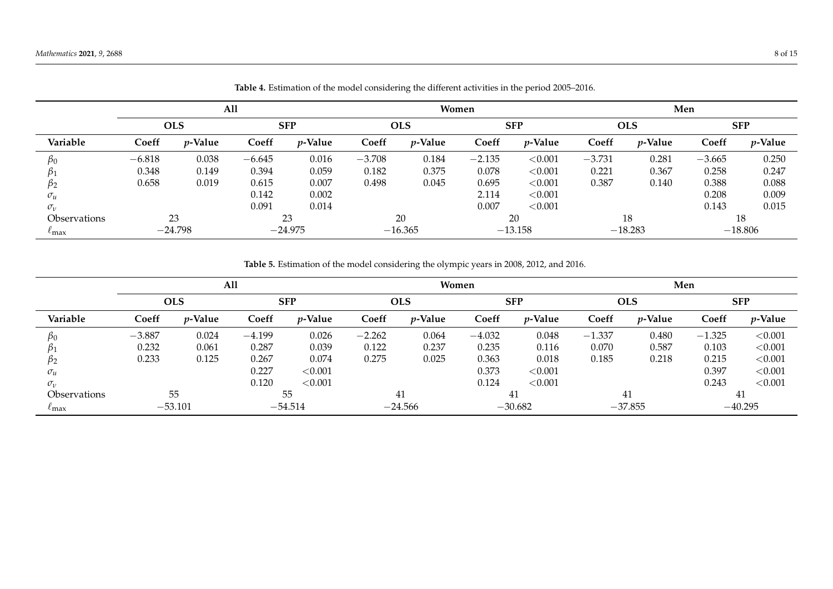|                     | All      |            |          |            |          | Women      |          |            |          | Men        |          |            |  |
|---------------------|----------|------------|----------|------------|----------|------------|----------|------------|----------|------------|----------|------------|--|
|                     |          | <b>OLS</b> |          | <b>SFP</b> |          | <b>OLS</b> |          | <b>SFP</b> |          | <b>OLS</b> |          | <b>SFP</b> |  |
| Variable            | Coeff    | $p$ -Value | Coeff    | $p$ -Value | Coeff    | $p$ -Value | Coeff    | $p$ -Value | Coeff    | $p$ -Value | Coeff    | $p$ -Value |  |
| βo                  | $-6.818$ | 0.038      | $-6.645$ | 0.016      | $-3.708$ | 0.184      | $-2.135$ | < 0.001    | $-3.731$ | 0.281      | $-3.665$ | 0.250      |  |
|                     | 0.348    | 0.149      | 0.394    | 0.059      | 0.182    | 0.375      | 0.078    | < 0.001    | 0.221    | 0.367      | 0.258    | 0.247      |  |
| $\beta_2$           | 0.658    | 0.019      | 0.615    | 0.007      | 0.498    | 0.045      | 0.695    | < 0.001    | 0.387    | 0.140      | 0.388    | 0.088      |  |
| $\sigma_u$          |          |            | 0.142    | 0.002      |          |            | 2.114    | < 0.001    |          |            | 0.208    | 0.009      |  |
| $\sigma_{\nu}$      |          |            | 0.091    | 0.014      |          |            | 0.007    | < 0.001    |          |            | 0.143    | 0.015      |  |
| <b>Observations</b> |          | 23         |          | 23         |          | 20         |          | 20         |          | 18         |          | 18         |  |
| $\ell$ max          |          | $-24.798$  |          | $-24.975$  |          | $-16.365$  |          | $-13.158$  |          | $-18.283$  |          | $-18.806$  |  |

|  |  | Table 4. Estimation of the model considering the different activities in the period 2005–2016. |  |
|--|--|------------------------------------------------------------------------------------------------|--|
|--|--|------------------------------------------------------------------------------------------------|--|

**Table 5.** Estimation of the model considering the olympic years in 2008, 2012, and 2016.

<span id="page-7-1"></span><span id="page-7-0"></span>

|                            | <b>All</b> |            |          |            |          | Women      |          |            | Men      |            |          |            |
|----------------------------|------------|------------|----------|------------|----------|------------|----------|------------|----------|------------|----------|------------|
|                            |            | <b>OLS</b> |          | <b>SFP</b> |          | <b>OLS</b> |          | <b>SFP</b> |          | <b>OLS</b> |          | <b>SFP</b> |
| Variable                   | Coeff      | $p$ -Value | Coeff    | $p$ -Value | Coeff    | $p$ -Value | Coeff    | $p$ -Value | Coeff    | $p$ -Value | Coeff    | $p$ -Value |
| $\beta_0$                  | $-3.887$   | 0.024      | $-4.199$ | 0.026      | $-2.262$ | 0.064      | $-4.032$ | 0.048      | $-1.337$ | 0.480      | $-1.325$ | < 0.001    |
|                            | 0.232      | 0.061      | 0.287    | 0.039      | 0.122    | 0.237      | 0.235    | 0.116      | 0.070    | 0.587      | 0.103    | < 0.001    |
| P2                         | 0.233      | 0.125      | 0.267    | 0.074      | 0.275    | 0.025      | 0.363    | 0.018      | 0.185    | 0.218      | 0.215    | < 0.001    |
| $\sigma_u$                 |            |            | 0.227    | < 0.001    |          |            | 0.373    | < 0.001    |          |            | 0.397    | < 0.001    |
| $\sigma_{\nu}$             |            |            | 0.120    | < 0.001    |          |            | 0.124    | < 0.001    |          |            | 0.243    | < 0.001    |
| <i><b>Observations</b></i> |            | 55         |          | 55         |          | 41         |          | 41         |          | 41         |          | 41         |
| $\iota$ max                |            | $-53.101$  |          | $-54.514$  |          | $-24.566$  |          | $-30.682$  |          | $-37.855$  |          | $-40.295$  |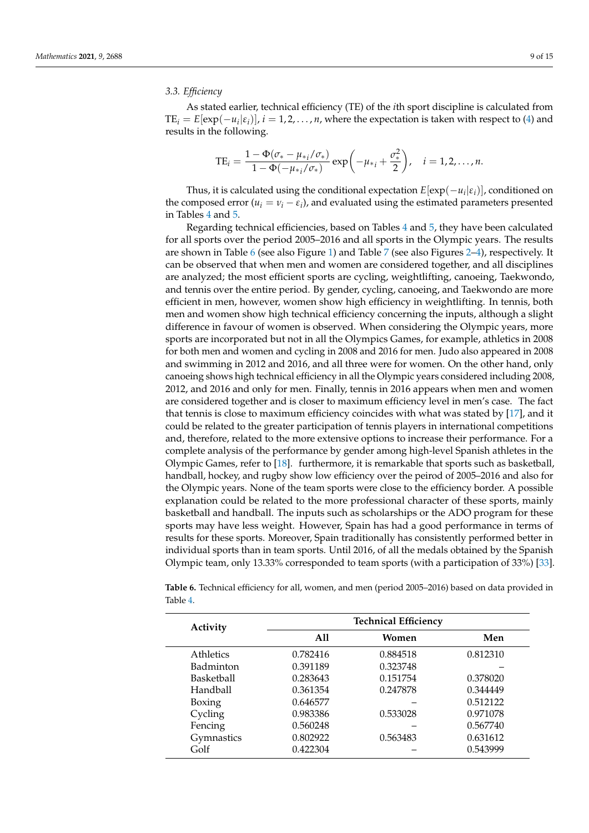### *3.3. Efficiency*

As stated earlier, technical efficiency (TE) of the *i*th sport discipline is calculated from  $TE_i = E[exp(-u_i|\varepsilon_i)], i = 1, 2, ..., n$ , where the expectation is taken with respect to [\(4\)](#page-3-1) and results in the following.

$$
TE_i = \frac{1 - \Phi(\sigma_* - \mu_{*_i}/\sigma_*)}{1 - \Phi(-\mu_{*_i}/\sigma_*)} \exp\left(-\mu_{*_i} + \frac{\sigma_*^2}{2}\right), \quad i = 1, 2, ..., n.
$$

Thus, it is calculated using the conditional expectation  $E[\exp(-u_i|\varepsilon_i)]$ , conditioned on the composed error  $(u_i = v_i - \varepsilon_i)$ , and evaluated using the estimated parameters presented in Tables [4](#page-7-0) and [5.](#page-7-1)

Regarding technical efficiencies, based on Tables [4](#page-7-0) and [5,](#page-7-1) they have been calculated for all sports over the period 2005–2016 and all sports in the Olympic years. The results are shown in Table [6](#page-9-0) (see also Figure [1\)](#page-9-1) and Table [7](#page-10-0) (see also Figures [2](#page-10-1)[–4\)](#page-11-1), respectively. It can be observed that when men and women are considered together, and all disciplines are analyzed; the most efficient sports are cycling, weightlifting, canoeing, Taekwondo, and tennis over the entire period. By gender, cycling, canoeing, and Taekwondo are more efficient in men, however, women show high efficiency in weightlifting. In tennis, both men and women show high technical efficiency concerning the inputs, although a slight difference in favour of women is observed. When considering the Olympic years, more sports are incorporated but not in all the Olympics Games, for example, athletics in 2008 for both men and women and cycling in 2008 and 2016 for men. Judo also appeared in 2008 and swimming in 2012 and 2016, and all three were for women. On the other hand, only canoeing shows high technical efficiency in all the Olympic years considered including 2008, 2012, and 2016 and only for men. Finally, tennis in 2016 appears when men and women are considered together and is closer to maximum efficiency level in men's case. The fact that tennis is close to maximum efficiency coincides with what was stated by [\[17\]](#page-13-7), and it could be related to the greater participation of tennis players in international competitions and, therefore, related to the more extensive options to increase their performance. For a complete analysis of the performance by gender among high-level Spanish athletes in the Olympic Games, refer to [\[18\]](#page-13-8). furthermore, it is remarkable that sports such as basketball, handball, hockey, and rugby show low efficiency over the peirod of 2005–2016 and also for the Olympic years. None of the team sports were close to the efficiency border. A possible explanation could be related to the more professional character of these sports, mainly basketball and handball. The inputs such as scholarships or the ADO program for these sports may have less weight. However, Spain has had a good performance in terms of results for these sports. Moreover, Spain traditionally has consistently performed better in individual sports than in team sports. Until 2016, of all the medals obtained by the Spanish Olympic team, only 13.33% corresponded to team sports (with a participation of 33%) [\[33\]](#page-14-7).

| Activity         | <b>Technical Efficiency</b> |          |          |  |  |  |  |
|------------------|-----------------------------|----------|----------|--|--|--|--|
|                  | A11                         | Women    | Men      |  |  |  |  |
| <b>Athletics</b> | 0.782416                    | 0.884518 | 0.812310 |  |  |  |  |
| Badminton        | 0.391189                    | 0.323748 |          |  |  |  |  |
| Basketball       | 0.283643                    | 0.151754 | 0.378020 |  |  |  |  |
| Handball         | 0.361354                    | 0.247878 | 0.344449 |  |  |  |  |
| Boxing           | 0.646577                    |          | 0.512122 |  |  |  |  |
| Cycling          | 0.983386                    | 0.533028 | 0.971078 |  |  |  |  |
| Fencing          | 0.560248                    |          | 0.567740 |  |  |  |  |
| Gymnastics       | 0.802922                    | 0.563483 | 0.631612 |  |  |  |  |
| Golf             | 0.422304                    |          | 0.543999 |  |  |  |  |

**Table 6.** Technical efficiency for all, women, and men (period 2005–2016) based on data provided in Table [4.](#page-7-0)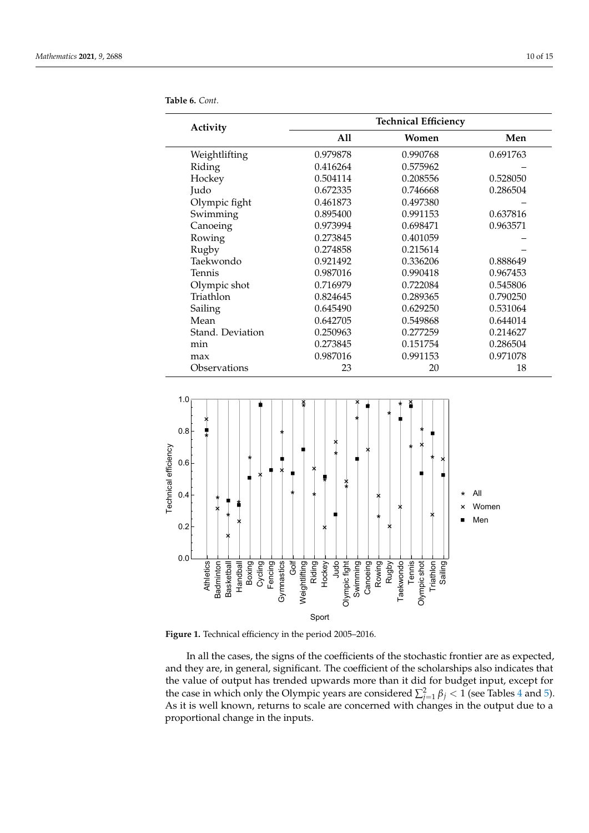| Activity         | <b>Technical Efficiency</b> |          |          |  |  |  |  |
|------------------|-----------------------------|----------|----------|--|--|--|--|
|                  | All                         | Women    | Men      |  |  |  |  |
| Weightlifting    | 0.979878                    | 0.990768 | 0.691763 |  |  |  |  |
| Riding           | 0.416264                    | 0.575962 |          |  |  |  |  |
| Hockey           | 0.504114                    | 0.208556 | 0.528050 |  |  |  |  |
| Judo             | 0.672335                    | 0.746668 | 0.286504 |  |  |  |  |
| Olympic fight    | 0.461873                    | 0.497380 |          |  |  |  |  |
| Swimming         | 0.895400                    | 0.991153 | 0.637816 |  |  |  |  |
| Canoeing         | 0.973994                    | 0.698471 | 0.963571 |  |  |  |  |
| Rowing           | 0.273845                    | 0.401059 |          |  |  |  |  |
| Rugby            | 0.274858                    | 0.215614 |          |  |  |  |  |
| Taekwondo        | 0.921492                    | 0.336206 | 0.888649 |  |  |  |  |
| Tennis           | 0.987016                    | 0.990418 | 0.967453 |  |  |  |  |
| Olympic shot     | 0.716979                    | 0.722084 | 0.545806 |  |  |  |  |
| Triathlon        | 0.824645                    | 0.289365 | 0.790250 |  |  |  |  |
| Sailing          | 0.645490                    | 0.629250 | 0.531064 |  |  |  |  |
| Mean             | 0.642705                    | 0.549868 | 0.644014 |  |  |  |  |
| Stand. Deviation | 0.250963                    | 0.277259 | 0.214627 |  |  |  |  |
| min              | 0.273845                    | 0.151754 | 0.286504 |  |  |  |  |
| max              | 0.987016                    | 0.991153 | 0.971078 |  |  |  |  |
| Observations     | 23                          | 20       | 18       |  |  |  |  |

<span id="page-9-0"></span>**Table 6.** *Cont.*

<span id="page-9-1"></span>

**Figure 1.** Technical efficiency in the period 2005–2016.

In all the cases, the signs of the coefficients of the stochastic frontier are as expected, and they are, in general, significant. The coefficient of the scholarships also indicates that the value of output has trended upwards more than it did for budget input, except for the case in which only the Olympic years are considered  $\sum_{j=1}^{2} \beta_j < 1$  (see Tables [4](#page-7-0) and [5\)](#page-7-1). As it is well known, returns to scale are concerned with changes in the output due to a proportional change in the inputs.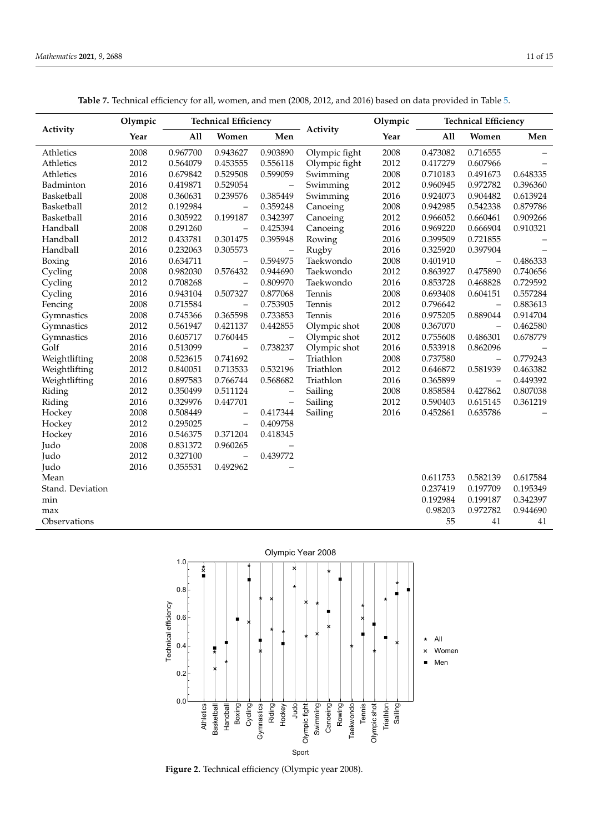**Table 7.** Technical efficiency for all, women, and men (2008, 2012, and 2016) based on data provided in Table [5.](#page-7-1)

<span id="page-10-0"></span>

|                  | Olympic |          | <b>Technical Efficiency</b> |                          |               | Olympic |          | <b>Technical Efficiency</b> |          |  |
|------------------|---------|----------|-----------------------------|--------------------------|---------------|---------|----------|-----------------------------|----------|--|
| Activity         | Year    | All      | Women                       | Men                      | Activity      | Year    | A11      | Women                       | Men      |  |
| Athletics        | 2008    | 0.967700 | 0.943627                    | 0.903890                 | Olympic fight | 2008    | 0.473082 | 0.716555                    |          |  |
| Athletics        | 2012    | 0.564079 | 0.453555                    | 0.556118                 | Olympic fight | 2012    | 0.417279 | 0.607966                    |          |  |
| Athletics        | 2016    | 0.679842 | 0.529508                    | 0.599059                 | Swimming      | 2008    | 0.710183 | 0.491673                    | 0.648335 |  |
| Badminton        | 2016    | 0.419871 | 0.529054                    | $\overline{a}$           | Swimming      | 2012    | 0.960945 | 0.972782                    | 0.396360 |  |
| Basketball       | 2008    | 0.360631 | 0.239576                    | 0.385449                 | Swimming      | 2016    | 0.924073 | 0.904482                    | 0.613924 |  |
| Basketball       | 2012    | 0.192984 | $\overline{\phantom{0}}$    | 0.359248                 | Canoeing      | 2008    | 0.942985 | 0.542338                    | 0.879786 |  |
| Basketball       | 2016    | 0.305922 | 0.199187                    | 0.342397                 | Canoeing      | 2012    | 0.966052 | 0.660461                    | 0.909266 |  |
| Handball         | 2008    | 0.291260 | $\overline{\phantom{0}}$    | 0.425394                 | Canoeing      | 2016    | 0.969220 | 0.666904                    | 0.910321 |  |
| Handball         | 2012    | 0.433781 | 0.301475                    | 0.395948                 | Rowing        | 2016    | 0.399509 | 0.721855                    |          |  |
| Handball         | 2016    | 0.232063 | 0.305573                    | $\qquad \qquad -$        | Rugby         | 2016    | 0.325920 | 0.397904                    |          |  |
| Boxing           | 2016    | 0.634711 | $\overline{\phantom{0}}$    | 0.594975                 | Taekwondo     | 2008    | 0.401910 | $\overline{\phantom{0}}$    | 0.486333 |  |
| Cycling          | 2008    | 0.982030 | 0.576432                    | 0.944690                 | Taekwondo     | 2012    | 0.863927 | 0.475890                    | 0.740656 |  |
| Cycling          | 2012    | 0.708268 | $\overline{\phantom{0}}$    | 0.809970                 | Taekwondo     | 2016    | 0.853728 | 0.468828                    | 0.729592 |  |
| Cycling          | 2016    | 0.943104 | 0.507327                    | 0.877068                 | Tennis        | 2008    | 0.693408 | 0.604151                    | 0.557284 |  |
| Fencing          | 2008    | 0.715584 | $\overline{\phantom{0}}$    | 0.753905                 | Tennis        | 2012    | 0.796642 | $\overline{\phantom{0}}$    | 0.883613 |  |
| Gymnastics       | 2008    | 0.745366 | 0.365598                    | 0.733853                 | Tennis        | 2016    | 0.975205 | 0.889044                    | 0.914704 |  |
| Gymnastics       | 2012    | 0.561947 | 0.421137                    | 0.442855                 | Olympic shot  | 2008    | 0.367070 | $\overline{\phantom{0}}$    | 0.462580 |  |
| Gymnastics       | 2016    | 0.605717 | 0.760445                    | $\qquad \qquad -$        | Olympic shot  | 2012    | 0.755608 | 0.486301                    | 0.678779 |  |
| Golf             | 2016    | 0.513099 | $\overline{\phantom{0}}$    | 0.738237                 | Olympic shot  | 2016    | 0.533918 | 0.862096                    |          |  |
| Weightlifting    | 2008    | 0.523615 | 0.741692                    | $\overline{\phantom{0}}$ | Triathlon     | 2008    | 0.737580 | $\qquad \qquad -$           | 0.779243 |  |
| Weightlifting    | 2012    | 0.840051 | 0.713533                    | 0.532196                 | Triathlon     | 2012    | 0.646872 | 0.581939                    | 0.463382 |  |
| Weightlifting    | 2016    | 0.897583 | 0.766744                    | 0.568682                 | Triathlon     | 2016    | 0.365899 | $\qquad \qquad -$           | 0.449392 |  |
| Riding           | 2012    | 0.350499 | 0.511124                    | $\overline{\phantom{0}}$ | Sailing       | 2008    | 0.858584 | 0.427862                    | 0.807038 |  |
| Riding           | 2016    | 0.329976 | 0.447701                    | $\qquad \qquad -$        | Sailing       | 2012    | 0.590403 | 0.615145                    | 0.361219 |  |
| Hockey           | 2008    | 0.508449 | $\qquad \qquad -$           | 0.417344                 | Sailing       | 2016    | 0.452861 | 0.635786                    |          |  |
| Hockey           | 2012    | 0.295025 | $\overline{\phantom{0}}$    | 0.409758                 |               |         |          |                             |          |  |
| Hockey           | 2016    | 0.546375 | 0.371204                    | 0.418345                 |               |         |          |                             |          |  |
| Judo             | 2008    | 0.831372 | 0.960265                    |                          |               |         |          |                             |          |  |
| Judo             | 2012    | 0.327100 | $\overline{\phantom{0}}$    | 0.439772                 |               |         |          |                             |          |  |
| Judo             | 2016    | 0.355531 | 0.492962                    |                          |               |         |          |                             |          |  |
| Mean             |         |          |                             |                          |               |         | 0.611753 | 0.582139                    | 0.617584 |  |
| Stand. Deviation |         |          |                             |                          |               |         | 0.237419 | 0.197709                    | 0.195349 |  |
| min              |         |          |                             |                          |               |         | 0.192984 | 0.199187                    | 0.342397 |  |
| max              |         |          |                             |                          |               |         | 0.98203  | 0.972782                    | 0.944690 |  |
| Observations     |         |          |                             |                          |               |         | 55       | 41                          | 41       |  |

<span id="page-10-1"></span>

**Figure 2.** Technical efficiency (Olympic year 2008).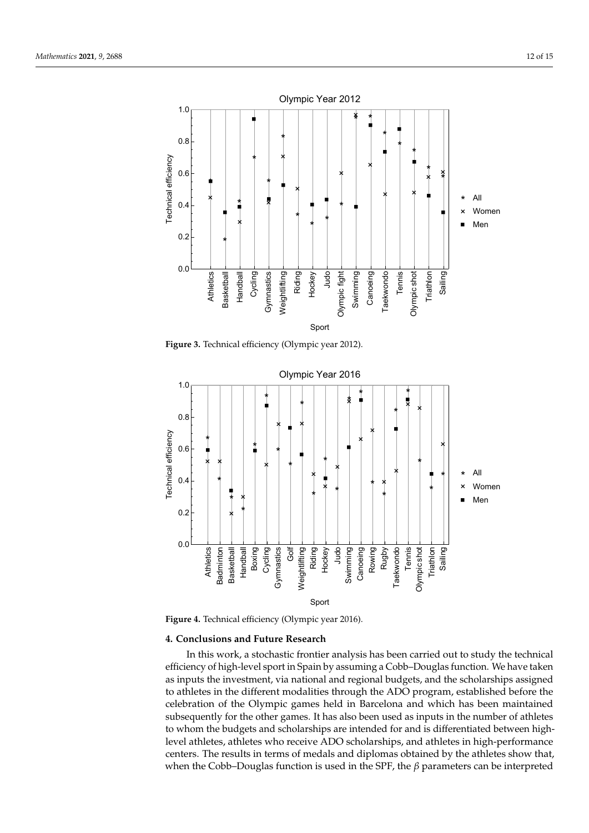

**Figure 3.** Technical efficiency (Olympic year 2012).

<span id="page-11-1"></span>

**Figure 4.** Technical efficiency (Olympic year 2016).

#### <span id="page-11-0"></span>**4. Conclusions and Future Research**

In this work, a stochastic frontier analysis has been carried out to study the technical efficiency of high-level sport in Spain by assuming a Cobb–Douglas function. We have taken as inputs the investment, via national and regional budgets, and the scholarships assigned to athletes in the different modalities through the ADO program, established before the celebration of the Olympic games held in Barcelona and which has been maintained subsequently for the other games. It has also been used as inputs in the number of athletes to whom the budgets and scholarships are intended for and is differentiated between highlevel athletes, athletes who receive ADO scholarships, and athletes in high-performance centers. The results in terms of medals and diplomas obtained by the athletes show that, when the Cobb–Douglas function is used in the SPF, the *β* parameters can be interpreted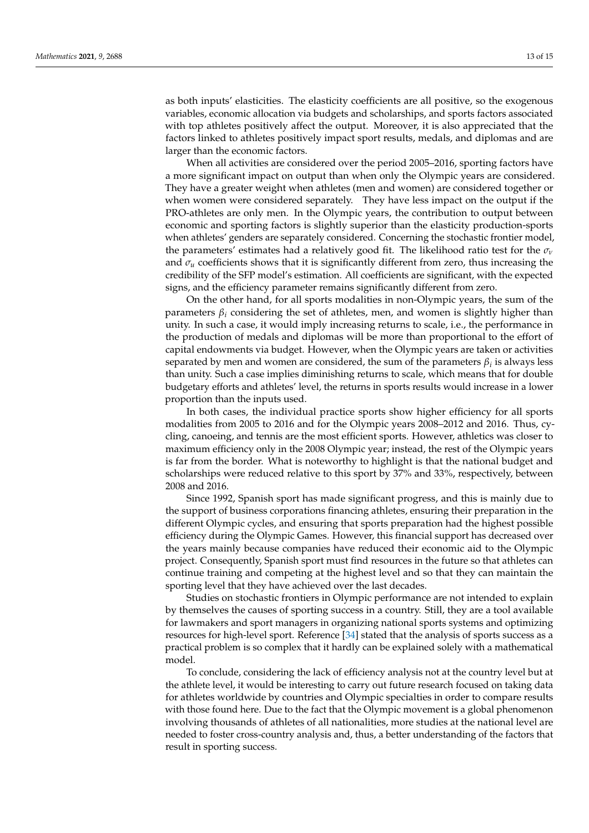as both inputs' elasticities. The elasticity coefficients are all positive, so the exogenous variables, economic allocation via budgets and scholarships, and sports factors associated with top athletes positively affect the output. Moreover, it is also appreciated that the factors linked to athletes positively impact sport results, medals, and diplomas and are larger than the economic factors.

When all activities are considered over the period 2005–2016, sporting factors have a more significant impact on output than when only the Olympic years are considered. They have a greater weight when athletes (men and women) are considered together or when women were considered separately. They have less impact on the output if the PRO-athletes are only men. In the Olympic years, the contribution to output between economic and sporting factors is slightly superior than the elasticity production-sports when athletes' genders are separately considered. Concerning the stochastic frontier model, the parameters' estimates had a relatively good fit. The likelihood ratio test for the *σ<sup>ν</sup>* and  $\sigma_u$  coefficients shows that it is significantly different from zero, thus increasing the credibility of the SFP model's estimation. All coefficients are significant, with the expected signs, and the efficiency parameter remains significantly different from zero.

On the other hand, for all sports modalities in non-Olympic years, the sum of the parameters *β<sup>i</sup>* considering the set of athletes, men, and women is slightly higher than unity. In such a case, it would imply increasing returns to scale, i.e., the performance in the production of medals and diplomas will be more than proportional to the effort of capital endowments via budget. However, when the Olympic years are taken or activities separated by men and women are considered, the sum of the parameters *β<sup>i</sup>* is always less than unity. Such a case implies diminishing returns to scale, which means that for double budgetary efforts and athletes' level, the returns in sports results would increase in a lower proportion than the inputs used.

In both cases, the individual practice sports show higher efficiency for all sports modalities from 2005 to 2016 and for the Olympic years 2008–2012 and 2016. Thus, cycling, canoeing, and tennis are the most efficient sports. However, athletics was closer to maximum efficiency only in the 2008 Olympic year; instead, the rest of the Olympic years is far from the border. What is noteworthy to highlight is that the national budget and scholarships were reduced relative to this sport by 37% and 33%, respectively, between 2008 and 2016.

Since 1992, Spanish sport has made significant progress, and this is mainly due to the support of business corporations financing athletes, ensuring their preparation in the different Olympic cycles, and ensuring that sports preparation had the highest possible efficiency during the Olympic Games. However, this financial support has decreased over the years mainly because companies have reduced their economic aid to the Olympic project. Consequently, Spanish sport must find resources in the future so that athletes can continue training and competing at the highest level and so that they can maintain the sporting level that they have achieved over the last decades.

Studies on stochastic frontiers in Olympic performance are not intended to explain by themselves the causes of sporting success in a country. Still, they are a tool available for lawmakers and sport managers in organizing national sports systems and optimizing resources for high-level sport. Reference [\[34\]](#page-14-8) stated that the analysis of sports success as a practical problem is so complex that it hardly can be explained solely with a mathematical model.

To conclude, considering the lack of efficiency analysis not at the country level but at the athlete level, it would be interesting to carry out future research focused on taking data for athletes worldwide by countries and Olympic specialties in order to compare results with those found here. Due to the fact that the Olympic movement is a global phenomenon involving thousands of athletes of all nationalities, more studies at the national level are needed to foster cross-country analysis and, thus, a better understanding of the factors that result in sporting success.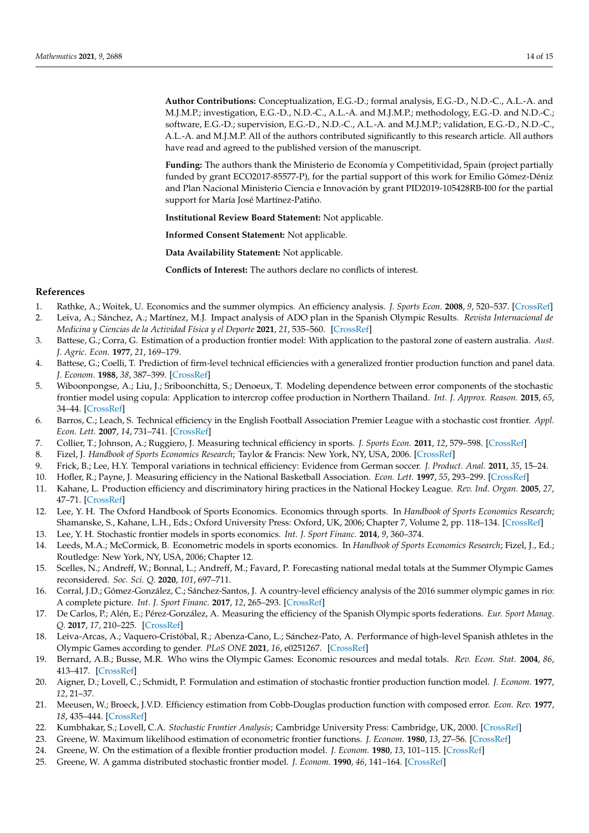**Author Contributions:** Conceptualization, E.G.-D.; formal analysis, E.G.-D., N.D.-C., A.L.-A. and M.J.M.P.; investigation, E.G.-D., N.D.-C., A.L.-A. and M.J.M.P.; methodology, E.G.-D. and N.D.-C.; software, E.G.-D.; supervision, E.G.-D., N.D.-C., A.L.-A. and M.J.M.P.; validation, E.G.-D., N.D.-C., A.L.-A. and M.J.M.P. All of the authors contributed significantly to this research article. All authors have read and agreed to the published version of the manuscript.

**Funding:** The authors thank the Ministerio de Economía y Competitividad, Spain (project partially funded by grant ECO2017-85577-P), for the partial support of this work for Emilio Gómez-Déniz and Plan Nacional Ministerio Ciencia e Innovación by grant PID2019-105428RB-I00 for the partial support for María José Martínez-Patiño.

**Institutional Review Board Statement:** Not applicable.

**Informed Consent Statement:** Not applicable.

**Data Availability Statement:** Not applicable.

**Conflicts of Interest:** The authors declare no conflicts of interest.

#### **References**

- <span id="page-13-0"></span>1. Rathke, A.; Woitek, U. Economics and the summer olympics. An efficiency analysis. *J. Sports Econ.* **2008**, *9*, 520–537. [\[CrossRef\]](http://doi.org/10.1177/1527002507313743)
- <span id="page-13-1"></span>2. Leiva, A.; Sánchez, A.; Martínez, M.J. Impact analysis of ADO plan in the Spanish Olympic Results. *Revista Internacional de Medicina y Ciencias de la Actividad Física y el Deporte* **2021**, *21*, 535–560. [\[CrossRef\]](http://dx.doi.org/10.1177/1527002507313743)
- <span id="page-13-2"></span>3. Battese, G.; Corra, G. Estimation of a production frontier model: With application to the pastoral zone of eastern australia. *Aust. J. Agric. Econ.* **1977**, *21*, 169–179.
- 4. Battese, G.; Coelli, T. Prediction of firm-level technical efficiencies with a generalized frontier production function and panel data. *J. Econom.* **1988**, *38*, 387–399. [\[CrossRef\]](http://dx.doi.org/10.1111/j.1467-8489.1977.tb00204.x)
- <span id="page-13-3"></span>5. Wiboonpongse, A.; Liu, J.; Sriboonchitta, S.; Denoeux, T. Modeling dependence between error components of the stochastic frontier model using copula: Application to intercrop coffee production in Northern Thailand. *Int. J. Approx. Reason.* **2015**, *65*, 34–44. [\[CrossRef\]](http://dx.doi.org/10.1016/0304-4076(88)90053-X)
- <span id="page-13-4"></span>6. Barros, C.; Leach, S. Technical efficiency in the English Football Association Premier League with a stochastic cost frontier. *Appl. Econ. Lett.* **2007**, *14*, 731–741. [\[CrossRef\]](http://dx.doi.org/10.1016/j.ijar.2015.04.001)
- 7. Collier, T.; Johnson, A.; Ruggiero, J. Measuring technical efficiency in sports. *J. Sports Econ.* **2011**, *12*, 579–598. [\[CrossRef\]](http://dx.doi.org/10.1080/13504850600592440)
- 8. Fizel, J. *Handbook of Sports Economics Research*; Taylor & Francis: New York, NY, USA, 2006. [\[CrossRef\]](http://dx.doi.org/10.1177/1527002510391582)
- 9. Frick, B.; Lee, H.Y. Temporal variations in technical efficiency: Evidence from German soccer. *J. Product. Anal.* **2011**, *35*, 15–24.
- 10. Hofler, R.; Payne, J. Measuring efficiency in the National Basketball Association. *Econ. Lett.* **1997**, *55*, 293–299. [\[CrossRef\]](http://dx.doi.org/10.1007/s11123-010-0175-1)
- 11. Kahane, L. Production efficiency and discriminatory hiring practices in the National Hockey League. *Rev. Ind. Organ.* **2005**, *27*, 47–71. [\[CrossRef\]](http://dx.doi.org/10.1016/S0165-1765(97)00083-9)
- 12. Lee, Y. H. The Oxford Handbook of Sports Economics. Economics through sports. In *Handbook of Sports Economics Research*; Shamanske, S., Kahane, L.H., Eds.; Oxford University Press: Oxford, UK, 2006; Chapter 7, Volume 2, pp. 118–134. [\[CrossRef\]](http://dx.doi.org/10.1007/s11151-005-4400-4)
- 13. Lee, Y. H. Stochastic frontier models in sports economics. *Int. J. Sport Financ.* **2014**, *9*, 360–374.
- 14. Leeds, M.A.; McCormick, B. Econometric models in sports economics. In *Handbook of Sports Economics Research*; Fizel, J., Ed.; Routledge: New York, NY, USA, 2006; Chapter 12.
- <span id="page-13-5"></span>15. Scelles, N.; Andreff, W.; Bonnal, L.; Andreff, M.; Favard, P. Forecasting national medal totals at the Summer Olympic Games reconsidered. *Soc. Sci. Q.* **2020**, *101*, 697–711.
- <span id="page-13-6"></span>16. Corral, J.D.; Gómez-González, C.; Sánchez-Santos, J. A country-level efficiency analysis of the 2016 summer olympic games in rio: A complete picture. *Int. J. Sport Financ.* **2017**, *12*, 265–293. [\[CrossRef\]](http://dx.doi.org/10.1111/ssqu.12782)
- <span id="page-13-7"></span>17. De Carlos, P.; Alén, E.; Pérez-González, A. Measuring the efficiency of the Spanish Olympic sports federations. *Eur. Sport Manag. Q.* **2017**, *17*, 210–225. [\[CrossRef\]](http://dx.doi.org/10.1111/ssqu.12782)
- <span id="page-13-8"></span>18. Leiva-Arcas, A.; Vaquero-Cristóbal, R.; Abenza-Cano, L.; Sánchez-Pato, A. Performance of high-level Spanish athletes in the Olympic Games according to gender. *PLoS ONE* **2021**, *16*, e0251267. [\[CrossRef\]](http://dx.doi.org/10.1111/ssqu.12782)
- <span id="page-13-9"></span>19. Bernard, A.B.; Busse, M.R. Who wins the Olympic Games: Economic resources and medal totals. *Rev. Econ. Stat.* **2004**, *86*, 413–417. [\[CrossRef\]](http://dx.doi.org/10.1111/ssqu.12782)
- <span id="page-13-10"></span>20. Aigner, D.; Lovell, C.; Schmidt, P. Formulation and estimation of stochastic frontier production function model. *J. Econom.* **1977**, *12*, 21–37.
- <span id="page-13-11"></span>21. Meeusen, W.; Broeck, J.V.D. Efficiency estimation from Cobb-Douglas production function with composed error. *Econ. Rev.* **1977**, *18*, 435–444. [\[CrossRef\]](http://dx.doi.org/10.1080/16184742.2016.1245769)
- <span id="page-13-12"></span>22. Kumbhakar, S.; Lovell, C.A. *Stochastic Frontier Analysis*; Cambridge University Press: Cambridge, UK, 2000. [\[CrossRef\]](http://dx.doi.org/10.1371/journal.pone.0251267)
- <span id="page-13-13"></span>23. Greene, W. Maximum likelihood estimation of econometric frontier functions. *J. Econom.* **1980**, *13*, 27–56. [\[CrossRef\]](http://dx.doi.org/10.1162/003465304774201824)
- <span id="page-13-14"></span>24. Greene, W. On the estimation of a flexible frontier production model. *J. Econom.* **1980**, *13*, 101–115. [\[CrossRef\]](http://dx.doi.org/10.1016/0304-4076(77)90052-5)
- 25. Greene, W. A gamma distributed stochastic frontier model. *J. Econom.* **1990**, *46*, 141–164. [\[CrossRef\]](http://dx.doi.org/10.2307/2525757)